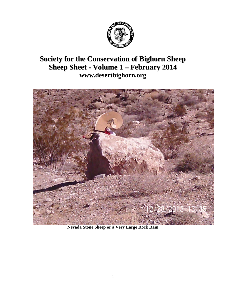

# **Society for the Conservation of Bighorn Sheep Sheep Sheet - Volume 1 – February 2014 [www.desertbighorn.org](http://www.desertbighorn.org/)**



**Nevada Stone Sheep or a Very Large Rock Ram**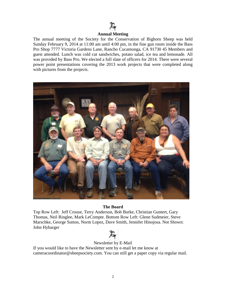

### **Annual Meeting**

The annual meeting of the Society for the Conservation of Bighorn Sheep was held Sunday February 9, 2014 at 11:00 am until 4:00 pm, in the fine gun room inside the Bass Pro Shop 7777 Victoria Gardens Lane, Rancho Cucamonga, CA 91730 45 Members and guest attended. Lunch was cold cut sandwiches, potato salad, ice tea and lemonade. All was provided by Bass Pro. We elected a full slate of officers for 2014. There were several power point presentations covering the 2013 work projects that were completed along with pictures from the projects.



### **The Board**

Top Row Left: Jeff Crouse, Terry Anderson, Bob Burke, Christian Guntert, Gary Thomas, Neil Ringlee, Mark LeCompte. Bottom Row Left: Glenn Sudmeier, Steve Marschke, George Sutton, Norm Lopez, Dave Smith, Jennifer Hinojosa. Not Shown: John Hybarger



## Newsletter by E-Mail

If you would like to have the Newsletter sent by e-mail let me know at cameracoordinator@sheepsociety.com. You can still get a paper copy via regular mail.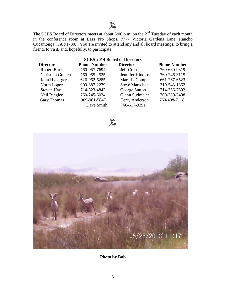The SCBS Board of Directors meets at about 6:00 p.m. on the  $2<sup>nd</sup>$  Tuesday of each month in the conference room at Bass Pro Shops, 7777 Victoria Gardens Lane, Rancho Cucamonga, CA 91730. You are invited to attend any and all board meetings, to bring a friend, to visit, and, hopefully, to participate.

# **SCBS 2014 Board of Directors Director Phone Number Director Phone Number** Robert Burke 760-957-7694 Jeff Crouse 760-680-9819 Christian Guntert 760-955-2525 Jennifer Hinojosa 760-246-3115 John Hybarger 626-962-6285 Mark LeCompte 661-267-6523 Norm Lopez 909-887-2279 Steve Marschke 310-543-1862 Stevan Hart 714-323-4843 George Sutton 714-356-7592 Neil Ringlee 760-245-6034 Glenn Sudmeier 760-389-2498 Gary Thomas 909-981-5847 Terry Anderson 760-408-7118 Dave Smith 760-617-3291





**Photo by Bob**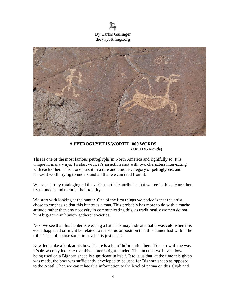



# **A PETROGLYPH IS WORTH 1000 WORDS (Or 1145 words)**

This is one of the most famous petroglyphs in North America and rightfully so. It is unique in many ways. To start with, it's an action shot with two characters inter-acting with each other. This alone puts it in a rare and unique category of petroglyphs, and makes it worth trying to understand all that we can read from it.

We can start by cataloging all the various artistic attributes that we see in this picture then try to understand them in their totality.

We start with looking at the hunter. One of the first things we notice is that the artist chose to emphasize that this hunter is a man. This probably has more to do with a macho attitude rather than any necessity in communicating this, as traditionally women do not hunt big-game in hunter- gatherer societies.

Next we see that this hunter is wearing a hat. This may indicate that it was cold when this event happened or might be related to the status or position that this hunter had within the tribe. Then of course sometimes a hat is just a hat.

Now let's take a look at his bow. There is a lot of information here. To start with the way it's drawn may indicate that this hunter is right-handed. The fact that we have a bow being used on a Bighorn sheep is significant in itself. It tells us that, at the time this glyph was made, the bow was sufficiently developed to be used for Bighorn sheep as opposed to the Atlatl. Then we can relate this information to the level of patina on this glyph and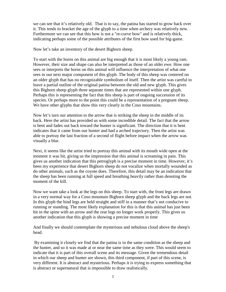we can see that it's relatively old. That is to say, the patina has started to grow back over it. This tends to bracket the age of the glyph to a time when archery was relatively new. Furthermore we can see that this bow is not a "re-curve bow" and is relatively thick, indicating perhaps some of the possible attributes of the first bow used for big-game.

Now let's take an inventory of the desert Bighorn sheep.

To start with the horns on this animal are big enough that it is most likely a young ram. However, their size and shape can also be interpreted as those of an older ewe. How one sees or interprets the horns on this animal will influence the interpretation of what one sees in our next major component of this glyph. The body of this sheep was centered on an older glyph that has no recognizable symbolism of itself. Then the artist was careful to leave a partial outline of the original patina between the old and new glyph. This gives this Bighorn sheep glyph three separate times that are represented within one glyph. Perhaps this is representing the fact that this sheep is part of ongoing succession of its species. Or perhaps more to the point this could be a representation of a pregnant sheep. We have other glyphs that show this very clearly in the Coso mountains.

Now let's turn our attention to the arrow that is striking the sheep in the middle of its back. Here the artist has provided us with some incredible detail. The fact that the arrow is bent and fades out back toward the hunter is significant. The direction that it is bent indicates that it came from our hunter and had a arched trajectory. Then the artist was able to portray the last fraction of a second of flight before impact when the arrow was visually a blur.

Next, it seems like the artist tried to portray this animal with its mouth wide open at the moment it was hit, giving us the impression that this animal is screaming in pain. This gives us another indication that this petroglyph is a precise moment in time. However, it's been my experience that desert Bighorn sheep do not vocalize when mortally wounded as do other animals, such as the coyote does. Therefore, this detail may be an indication that the sheep has been running at full speed and breathing heavily rather than denoting the moment of the kill.

Now we want take a look at the legs on this sheep. To start with, the front legs are drawn in a very normal way for a Coso mountain Bighorn sheep glyph and the back legs are not. In this glyph the hind legs are held straight and stiff in a manner that's not conducive to running or standing. The most likely explanation for this is that this animal has just been hit in the spine with an arrow and the rear legs no longer work properly. This gives us another indication that this glyph is showing a precise moment in time

And finally we should contemplate the mysterious and nebulous cloud above the sheep's head.

By examining it closely we find that the patina is in the same condition as the sheep and the hunter, and so it was made at or near the same time as they were. This would seem to indicate that it is part of this overall scene and its message. Given the tremendous detail in which our sheep and hunter are shown, this third component, if part of this scene, is very different. It is abstract and mysterious. Perhaps it is trying to express something that is abstract or supernatural that is impossible to draw realistically.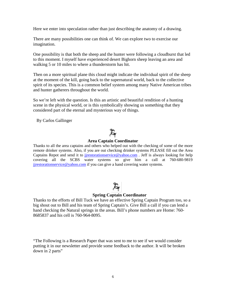Here we enter into speculation rather than just describing the anatomy of a drawing.

There are many possibilities one can think of. We can explore two to exercise our imagination.

One possibility is that both the sheep and the hunter were following a cloudburst that led to this moment. I myself have experienced desert Bighorn sheep leaving an area and walking 5 or 10 miles to where a thunderstorm has hit.

Then on a more spiritual plane this cloud might indicate the individual spirit of the sheep at the moment of the kill, going back to the supernatural world, back to the collective spirit of its species. This is a common belief system among many Native American tribes and hunter gatherers throughout the world.

So we're left with the question. Is this an artistic and beautiful rendition of a hunting scene in the physical world, or is this symbolically showing us something that they considered part of the eternal and mysterious way of things.

By Carlos Gallinger

## **Area Captain Coordinator**

Thanks to all the area captains and others who helped out with the checking of some of the more remote drinker systems. Also, if you are out checking drinker systems PLEASE fill out the Area Captains Repot and send it to [jjrestorationservice@yahoo.com](mailto:jjrestorationservice@yahoo.com). Jeff is always looking for help covering all the SCBS water systems so give him a call at 760-680-9819 [jjrestorationservice@yahoo.com](mailto:jjrestorationservice@yahoo.com) if you can give a hand covering water systems.

## **Spring Captain Coordinator**

Thanks to the efforts of Bill Tuck we have an effective Spring Captain Program too, so a big shout out to Bill and his team of Spring Captain's. Give Bill a call if you can lend a hand checking the Natural springs in the areas. Bill's phone numbers are Home: 760- 8685837 and his cell is 760-964-8095.

"The Following is a Research Paper that was sent to me to see if we would consider putting it in our newsletter and provide some feedback to the author. It will be broken down in 2 parts"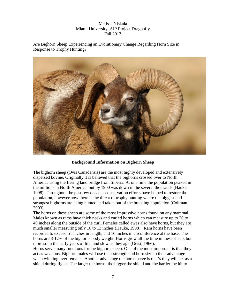# Melissa Niskala Miami University, AIP Project Dragonfly Fall 2013

Are Bighorn Sheep Experiencing an Evolutionary Change Regarding Horn Size in Response to Trophy Hunting?



# **Background Information on Bighorn Sheep**

The bighorn sheep (Ovis Canadensis) are the most highly developed and extensively dispersed bovine. Originally it is believed that the bighorns crossed over to North America using the Bering land bridge from Siberia. At one time the population peaked in the millions in North America, but by 1900 was down in the several thousands (Hauke, 1998). Throughout the past few decades conservation efforts have helped to restore the population, however now there is the threat of trophy hunting where the biggest and strongest bighorns are being hunted and taken out of the breeding population (Coltman, 2003).

The horns on these sheep are some of the most impressive horns found on any mammal. Males known as rams have thick necks and curled horns which can measure up to 30 to 40 inches along the outside of the curl. Females called ewes also have horns, but they are much smaller measuring only 10 to 13 inches (Hauke, 1998). Ram horns have been recorded to exceed 51 inches in length, and 16 inches in circumference at the base. The horns are 8-12% of the bighorns body weight. Horns grow all the time in these sheep, but more so in the early years of life, and slow as they age (Geist, 1966).

Horns serve many functions for the bighorn sheep. One of the most important is that they act as weapons. Bighorn males will use their strength and horn size to their advantage when winning over females. Another advantage the horns serve is that's they will act as a shield during fights. The larger the horns, the bigger the shield and the harder the hit to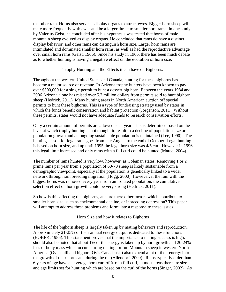the other ram. Horns also serve as display organs to attract ewes. Bigger horn sheep will mate more frequently with ewes and be a larger threat to smaller horn rams. In one study by Valerius Geist, he concluded after his hypothesis was tested that horns of male mountain sheep evolved as display organs. He concluded that rams do have a distinct display behavior, and other rams can distinguish horn size. Larger horn rams are intimidated and dominated smaller horn rams, as well as had the reproductive advantage over small horn rams (Geist, 1966). Since his study in 1966, there has been much debate as to whether hunting is having a negative effect on the evolution of horn size.

Trophy Hunting and the Effects it can have on Bighorns.

Throughout the western United States and Canada, hunting for these bighorns has become a major source of revenue. In Arizona trophy hunters have been known to pay over \$300,000 for a single permit to hunt a dessert big horn. Between the years 1984 and 2006 Arizona alone has raised over 5.7 million dollars from permits sold to hunt bighorn sheep (Hedrick, 2011). Many hunting areas in North American auction off special permits to hunt these bighorns. This is a type of fundraising strategy used by states in which the funds benefit conservation and habitat protection (Jorgenson, 2011). Without these permits, states would not have adequate funds to research conservation efforts.

Only a certain amount of permits are allowed each year. This is determined based on the level at which trophy hunting is not thought to result in a decline of population size or population growth and an ongoing sustainable population is maintained (Lee, 1990). The hunting season for legal rams goes from late August to the end of October. Legal hunting is based on horn size, and up until 1995 the legal horn size was 4/5 curl. However in 1996 this legal limit increased and only rams with a full curl could be hunted (Marco, 2004).

The number of rams hunted is very low, however, as Coleman states: Removing 1 or 2 prime rams per year from a population of 60-70 sheep is likely sustainable from a demographic viewpoint, especially if the population is genetically linked to a wider network through ram breeding migration (Hogg, 2000). However, if the ram with the biggest horns was removed every year from an isolated population, the cumulative selection effect on horn growth could be very strong (Hedrick, 2011).

So how is this effecting the bighorns, and are there other factors which contribute to smaller horn size, such as environmental decline, or inbreeding depression? This paper will attempt to address these problems and formulate a response to these issues.

Horn Size and how it relates to Bighorns

The life of the bighorn sheep is largely taken up by mating behaviors and reproduction. Approximately 21-25% of their annual energy output is dedicated to these functions (BOBEK, 1986). This statement proves that the importance to mating success is high. It should also be noted that about 1% of the energy is taken up by horn growth and 20-24% loss of body mass which occurs during mating, or rut. Mountain sheep in western North America (Ovis dalli and bighorn Ovis Canadensis) also expend a lot of their energy into the growth of their horns and during the rut (Allendorf, 2009). Rams typically older than 6 years of age have an average horn curl of ¾ of a full curl, in most areas there are size and age limits set for hunting which are based on the curl of the horns (Singer, 2002). As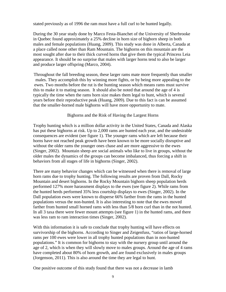stated previously as of 1996 the ram must have a full curl to be hunted legally.

During the 30 year study done by Marco Festa-Bianchet of the University of Sherbrooke in Quebec found approximately a 25% decline in horn size of bighorn sheep in both males and female populations (Huang, 2009). This study was done in Alberta, Canada at a place called none other than Ram Mountain. The bighorns on this mountain are the most sought after due to their thick curved horns that give them the typical Princess Leia appearance. It should be no surprise that males with larger horns tend to also be larger and produce larger offspring (Marco, 2004).

Throughout the fall breeding season, these larger rams mate more frequently than smaller males. They accomplish this by winning more fights, or by being more appealing to the ewes. Two months before the rut is the hunting season which means rams must survive this to make it to mating season. It should also be noted that around the age of 4 is typically the time when the rams horn size makes them legal to hunt, which is several years before their reproductive peak (Huang, 2009). Due to this fact is can be assumed that the smaller-horned male bighorns will have more opportunity to mate.

## Bighorns and the Risk of Having the Largest Horns

Trophy hunting which is a million dollar activity in the United States, Canada and Alaska has put these bighorns at risk. Up to 2,000 rams are hunted each year, and the undesirable consequences are evident (see figure 1). The younger rams which are left because their horns have not reached peak growth have been known to be more socially disruptive and without the older rams the younger ones chase and are more aggressive to the ewes (Singer, 2002). Mountain sheep are social animals who like to live in groups, without the older males the dynamics of the groups can become imbalanced, thus forcing a shift in behaviors from all stages of life in bighorns (Singer, 2002).

There are many behavior changes which can be witnessed when there is removal of large horn rams due to trophy hunting. The following results are proven from Dall, Rocky Mountain and desert bighorns. In the Rocky Mountain bighorn sheep population herds performed 127% more harassment displays to the ewes (see figure 2). While rams from the hunted herds performed 35% less courtship displays to ewes (Singer, 2002). In the Dall population ewes were known to disperse 66% farther from the rams in the hunted populations versus the non-hunted. It is also interesting to note that the ewes moved farther from hunted small horned rams with less than 5/8 horn curl than in the not hunted. In all 3 taxa there were fewer mount attempts (see figure 1) in the hunted rams, and there was less ram to ram interaction times (Singer, 2002).

With this information it is safe to conclude that trophy hunting will have effects on survivorship of the bighorns. According to Singer and Zeigenfuss, "ratios of large-horned rams per 100 ewes were lower in all trophy hunted populations than in non-hunted populations." It is common for bighorns to stay with the nursery group until around the age of 2, which is when they will slowly move to males groups. Around the age of 4 rams have completed about 80% of horn growth, and are found exclusively in males groups (Jorgenson, 2011). This is also around the time they are legal to hunt.

One positive outcome of this study found that there was not a decrease in lamb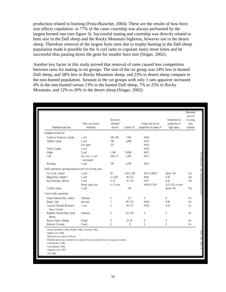production related to hunting (Festa-Bianchet, 2004). These are the results of how horn size effects copulation: in 77% of the cases courtship was always performed by the largest horned ram (see figure 3). Successful mating and courtship was directly related to horn size in the Dall sheep and the Rocky Mountain bighorns, however not in the desert sheep. Therefore removal of the largest horn rams due to trophy hunting in the Dall sheep population made it possible for the ¾ curl rams to copulate many more times and be successful thus passing down the gene for smaller horn size (Singer, 2002).

Another key factor in this study proved that removal of rams caused less competition between rams for mating in rut groups. The size of the rut group was 24% less in hunted Dall sheep, and 58% less in Rocky Mountain sheep, and 23% in desert sheep compare to the non-hunted population. Amount in the rut groups with only 1 ram apparent increased 4% in the non-hunted versus 13% in the hunted Dall sheep, 7% to 25% in Rocky Mountain, and 12% to 20% in the desert sheep (Singer, 2002)

| Population and area                                          | Horn curl harvest<br>restriction          | Known or<br>estimated<br>harvest | Census $(N)$  | Annual ram harvest<br>(proportion of census N) | Annual harvest<br>(proportion of<br>legal rams) | Depressed<br>survival<br>of young<br>rams<br>reported |
|--------------------------------------------------------------|-------------------------------------------|----------------------------------|---------------|------------------------------------------------|-------------------------------------------------|-------------------------------------------------------|
| Examples of harvests <sup>a</sup>                            |                                           |                                  |               |                                                |                                                 |                                                       |
| Northwest Territories, Canada                                | $\frac{3}{4}$ curl                        | $200 - 300$                      | 7,000         | 0.040                                          |                                                 |                                                       |
| Alberta, Canada                                              | $\frac{4}{5}$ curl                        | 190                              | 6,000         | 0.032                                          |                                                 |                                                       |
|                                                              | Ewe-lamb                                  | 225                              |               | 0.038                                          |                                                 |                                                       |
| Yukon, Canada                                                | $\frac{N}{8}$ curl                        |                                  |               | 0.010                                          |                                                 |                                                       |
| Alaska                                                       | $\frac{N}{k}$ curl                        | 1,100                            | 74,000        | 0.015                                          |                                                 |                                                       |
| Utah                                                         | Any ram- $\frac{1}{4}$ curl<br>encouraged | about 15                         | 1,000         | 0.015                                          |                                                 |                                                       |
| Wyoming                                                      | $\frac{3}{4}$ curl                        | 194                              | 6,100         | 0.032                                          |                                                 |                                                       |
| Study populations reporting depressed survival of young rams |                                           |                                  |               |                                                |                                                 |                                                       |
| Dry Creek, Alaskab                                           | $\frac{3}{4}$ curl <sup>e</sup>           | 99                               | $1,100-1,300$ | $0.053(0.090)^d$                               | about 1.00                                      | Yes                                                   |
| Sheep River, Alberta <sup>e-g</sup>                          | $\frac{4}{3}$ curl                        | $12(20)^d$                       | $99 - 153$    | 0.085                                          | 0.30                                            | Yes                                                   |
| Ram Mountain, Alberta®                                       | $\frac{4}{5}$ curl                        | $8 - 14$                         | $95 - 110$    | 0.107                                          | 0.38                                            | Yes                                                   |
|                                                              | Permit, adult ewes                        | $6-12$ ewes                      |               | $0.080(0.130)^d$                               | $0.12 - 0.24$ of ewes                           |                                                       |
| Usibelli, Alaska                                             | $\frac{7}{8}$ curl <sup>e</sup>           |                                  | 190           |                                                | about 1.00                                      | Yes                                                   |
| Control study populations                                    |                                           |                                  |               |                                                |                                                 |                                                       |
| Denali National Park, Alaskah                                | Unhunted                                  | $\theta$                         | 215           | $\theta$                                       | $\theta$                                        | No.                                                   |
| Potash, Utah                                                 | Any ram                                   | 3                                | $105 - 155$   | 0.030                                          | 0.06                                            | No                                                    |
| Curecanti National Recreation<br>Area, Colorado              | $\frac{3}{4}$ curl                        |                                  | $90 - 125$    | 0.030                                          | 0.14                                            | No                                                    |
| Badlands National Park, South<br>Dakota                      | Unhunted                                  | $\theta$                         | $123 - 140$   | $\theta$                                       | $\theta$                                        | No                                                    |
| Beaver Creek, Colorado                                       | Closed                                    | $\theta$                         | $25 - 30$     | $\bf{0}$                                       | $\bf{0}$                                        | No                                                    |
| Waterton, Colorado                                           | Closed                                    | $\bf{0}$                         | 25            | $\theta$                                       | $\bf{0}$                                        | No                                                    |

<sup>b</sup> Heimer et al. (1984).

<sup>c</sup> Restrictions now raised to 8/8-curl.

<sup>d</sup> Potential ram harvest corrected for the situation if no depressed survival of young rams occurred.

<sup>e</sup> Festa-Bianchet (1986).

<sup>f</sup>Festa-Bianchet (1989).

<sup>#</sup> Jorgenson et al. (1997).

This study.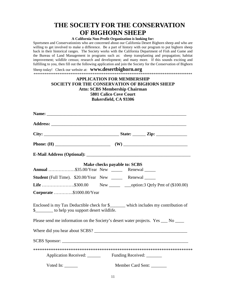# **THE SOCIETY FOR THE CONSERVATION OF BIGHORN SHEEP**

### **A California Non-Profit Organization is looking for:**

Sportsmen and Conservationists who are concerned about our California Desert Bighorn sheep and who are willing to get involved to make a difference. Be a part of history with our program to put bighorn sheep back in their historical ranges. The Society works with the California Department of Fish and Game and the Bureau of Land Management in programs such as: sheep transplanting and propagation; habitat improvement; wildlife census; research and development; and many more. If this sounds exciting and fulfilling to you, then fill out the following application and join the Society for the Conservation of Bighorn

Sheep today! Check our website at: **www.desertbighorn.org** \*\*\*\*\*\*\*\*\*\*\*\*\*\*\*\*\*\*\*\*\*\*\*\*\*\*\*\*\*\*\*\*\*\*\*\*\*\*\*\*\*\*\*\*\*\*\*\*\*\*\*\*\*\*\*\*\*\*\*\*\*\*\*\*\*\*\*\*\*\*\*\*\*\*\*\*\*\*\*\*\*\*\*\*\*\*

# **APPLICATION FOR MEMBERSHIP SOCIETY FOR THE CONSERVATION OF BIGHORN SHEEP Attn: SCBS Membership Chairman 5801 Calico Cove Court Bakersfield, CA 93306**

|                                                                                                                                        | Make checks payable to: SCBS |  |  |  |
|----------------------------------------------------------------------------------------------------------------------------------------|------------------------------|--|--|--|
| Annual \$35.00/Year New _______ Renewal ______                                                                                         |                              |  |  |  |
| <b>Student</b> (Full Time). \$20.00/Year New ______ Renewal _____                                                                      |                              |  |  |  |
| <b>Life</b> \$300.00 New ________ ___option:3 Qtrly Pmt of (\$100.00)                                                                  |                              |  |  |  |
| Corporate \$1000.00/Year                                                                                                               |                              |  |  |  |
| Enclosed is my Tax Deductible check for \$_____ which includes my contribution of<br>\$__________ to help you support desert wildlife. |                              |  |  |  |
| Please send me information on the Society's desert water projects. Yes ___ No ___                                                      |                              |  |  |  |
|                                                                                                                                        |                              |  |  |  |
|                                                                                                                                        |                              |  |  |  |
|                                                                                                                                        |                              |  |  |  |
|                                                                                                                                        |                              |  |  |  |
| Voted In: $\frac{1}{1}$                                                                                                                | Member Card Sent: _______    |  |  |  |